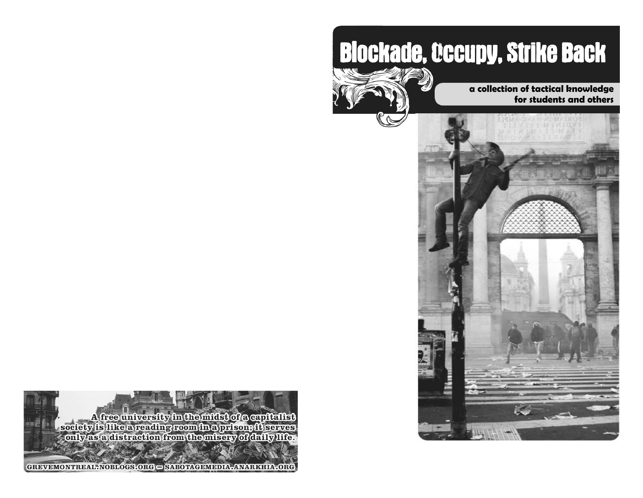# **Blockade, Occupy, Strike Back**



**a collection of tactical knowledge for students and others** 



GREVEMONTREAL-NOBLOGS.ORG - SABOTAGEMEDIA-ANARKHIA.ORG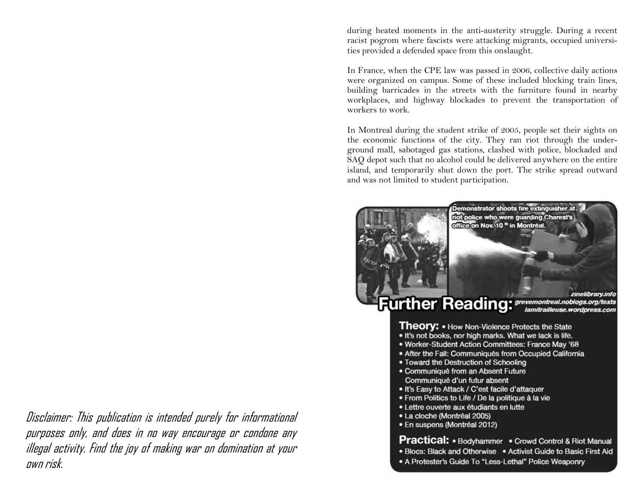during heated moments in the anti-austerity struggle. During a recent racist pogrom where fascists were attacking migrants, occupied universities provided a defended space from this onslaught.

In France, when the CPE law was passed in 2006, collective daily actions were organized on campus. Some of these included blocking train lines, building barricades in the streets with the furniture found in nearby workplaces, and highway blockades to prevent the transportation of workers to work.

In Montreal during the student strike of 2005, people set their sights on the economic functions of the city. They ran riot through the underground mall, sabotaged gas stations, clashed with police, blockaded and SAQ depot such that no alcohol could be delivered anywhere on the entire island, and temporarily shut down the port. The strike spread outward and was not limited to student participation.



Disclaimer: This publication is intended purely for informational purposes only, and does in no way encourage or condone any illegal activity. Find the joy of making war on domination at your own risk.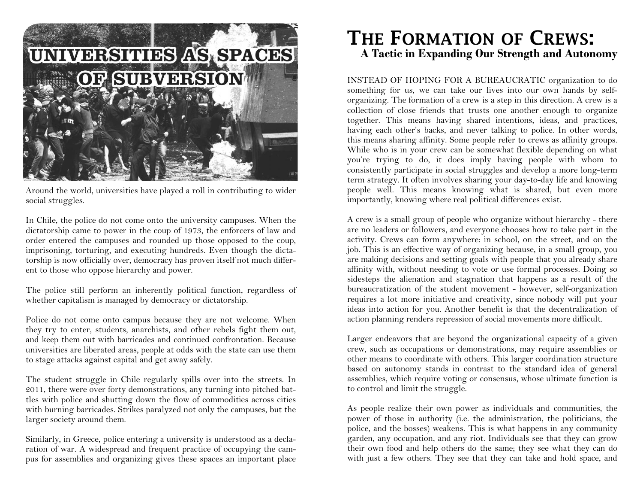

Around the world, universities have played a roll in contributing to wider social struggles.

In Chile, the police do not come onto the university campuses. When the dictatorship came to power in the coup of 1973, the enforcers of law and order entered the campuses and rounded up those opposed to the coup, imprisoning, torturing, and executing hundreds. Even though the dictatorship is now officially over, democracy has proven itself not much different to those who oppose hierarchy and power.

The police still perform an inherently political function, regardless of whether capitalism is managed by democracy or dictatorship.

Police do not come onto campus because they are not welcome. When they try to enter, students, anarchists, and other rebels fight them out, and keep them out with barricades and continued confrontation. Because universities are liberated areas, people at odds with the state can use them to stage attacks against capital and get away safely.

The student struggle in Chile regularly spills over into the streets. In 2011, there were over forty demonstrations, any turning into pitched battles with police and shutting down the flow of commodities across cities with burning barricades. Strikes paralyzed not only the campuses, but the larger society around them.

Similarly, in Greece, police entering a university is understood as a declaration of war. A widespread and frequent practice of occupying the campus for assemblies and organizing gives these spaces an important place

### **THE FORMATION OF CREWS: A Tactic in Expanding Our Strength and Autonomy**

INSTEAD OF HOPING FOR A BUREAUCRATIC organization to do something for us, we can take our lives into our own hands by selforganizing. The formation of a crew is a step in this direction. A crew is a collection of close friends that trusts one another enough to organize together. This means having shared intentions, ideas, and practices, having each other's backs, and never talking to police. In other words, this means sharing affinity. Some people refer to crews as affinity groups. While who is in your crew can be somewhat flexible depending on what you're trying to do, it does imply having people with whom to consistently participate in social struggles and develop a more long-term term strategy. It often involves sharing your day-to-day life and knowing people well. This means knowing what is shared, but even more importantly, knowing where real political differences exist.

A crew is a small group of people who organize without hierarchy - there are no leaders or followers, and everyone chooses how to take part in the activity. Crews can form anywhere: in school, on the street, and on the job. This is an effective way of organizing because, in a small group, you are making decisions and setting goals with people that you already share affinity with, without needing to vote or use formal processes. Doing so sidesteps the alienation and stagnation that happens as a result of the bureaucratization of the student movement - however, self-organization requires a lot more initiative and creativity, since nobody will put your ideas into action for you. Another benefit is that the decentralization of action planning renders repression of social movements more difficult.

Larger endeavors that are beyond the organizational capacity of a given crew, such as occupations or demonstrations, may require assemblies or other means to coordinate with others. This larger coordination structure based on autonomy stands in contrast to the standard idea of general assemblies, which require voting or consensus, whose ultimate function is to control and limit the struggle.

As people realize their own power as individuals and communities, the power of those in authority (i.e. the administration, the politicians, the police, and the bosses) weakens. This is what happens in any community garden, any occupation, and any riot. Individuals see that they can grow their own food and help others do the same; they see what they can do with just a few others. They see that they can take and hold space, and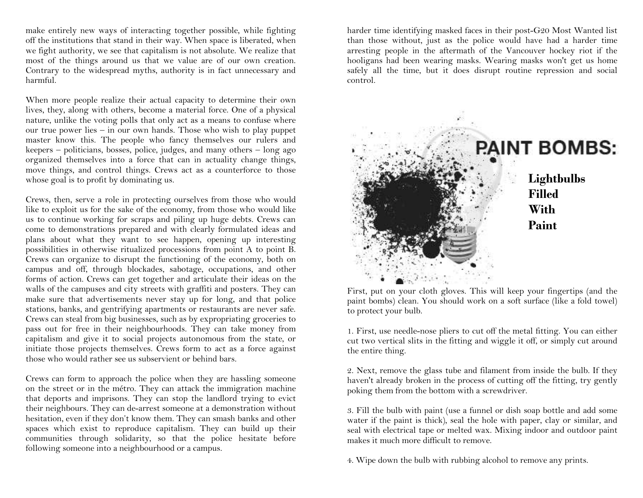make entirely new ways of interacting together possible, while fighting off the institutions that stand in their way. When space is liberated, when we fight authority, we see that capitalism is not absolute. We realize that most of the things around us that we value are of our own creation. Contrary to the widespread myths, authority is in fact unnecessary and harmful.

When more people realize their actual capacity to determine their own lives, they, along with others, become a material force. One of a physical nature, unlike the voting polls that only act as a means to confuse where our true power lies – in our own hands. Those who wish to play puppet master know this. The people who fancy themselves our rulers and keepers – politicians, bosses, police, judges, and many others – long ago organized themselves into a force that can in actuality change things, move things, and control things. Crews act as a counterforce to those whose goal is to profit by dominating us.

Crews, then, serve a role in protecting ourselves from those who would like to exploit us for the sake of the economy, from those who would like us to continue working for scraps and piling up huge debts. Crews can come to demonstrations prepared and with clearly formulated ideas and plans about what they want to see happen, opening up interesting possibilities in otherwise ritualized processions from point A to point B. Crews can organize to disrupt the functioning of the economy, both on campus and off, through blockades, sabotage, occupations, and other forms of action. Crews can get together and articulate their ideas on the walls of the campuses and city streets with graffiti and posters. They can make sure that advertisements never stay up for long, and that police stations, banks, and gentrifying apartments or restaurants are never safe. Crews can steal from big businesses, such as by expropriating groceries to pass out for free in their neighbourhoods. They can take money from capitalism and give it to social projects autonomous from the state, or initiate those projects themselves. Crews form to act as a force against those who would rather see us subservient or behind bars.

Crews can form to approach the police when they are hassling someone on the street or in the métro. They can attack the immigration machine that deports and imprisons. They can stop the landlord trying to evict their neighbours. They can de-arrest someone at a demonstration without hesitation, even if they don't know them. They can smash banks and other spaces which exist to reproduce capitalism. They can build up their communities through solidarity, so that the police hesitate before following someone into a neighbourhood or a campus.

harder time identifying masked faces in their post-G20 Most Wanted list than those without, just as the police would have had a harder time arresting people in the aftermath of the Vancouver hockey riot if the hooligans had been wearing masks. Wearing masks won't get us home safely all the time, but it does disrupt routine repression and social control.



First, put on your cloth gloves. This will keep your fingertips (and the paint bombs) clean. You should work on a soft surface (like a fold towel) to protect your bulb.

1. First, use needle-nose pliers to cut off the metal fitting. You can either cut two vertical slits in the fitting and wiggle it off, or simply cut around the entire thing.

2. Next, remove the glass tube and filament from inside the bulb. If they haven't already broken in the process of cutting off the fitting, try gently poking them from the bottom with a screwdriver.

3. Fill the bulb with paint (use a funnel or dish soap bottle and add some water if the paint is thick), seal the hole with paper, clay or similar, and seal with electrical tape or melted wax. Mixing indoor and outdoor paint makes it much more difficult to remove.

4. Wipe down the bulb with rubbing alcohol to remove any prints.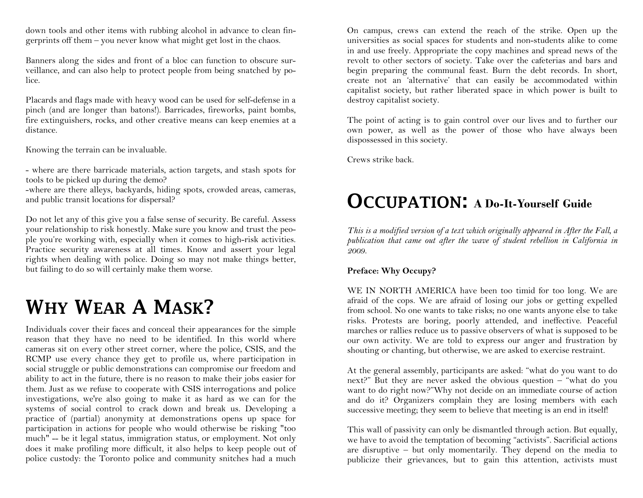down tools and other items with rubbing alcohol in advance to clean fingerprints off them – you never know what might get lost in the chaos.

Banners along the sides and front of a bloc can function to obscure surveillance, and can also help to protect people from being snatched by police.

Placards and flags made with heavy wood can be used for self-defense in a pinch (and are longer than batons!). Barricades, fireworks, paint bombs, fire extinguishers, rocks, and other creative means can keep enemies at a distance.

Knowing the terrain can be invaluable.

- where are there barricade materials, action targets, and stash spots for tools to be picked up during the demo?

-where are there alleys, backyards, hiding spots, crowded areas, cameras, and public transit locations for dispersal?

Do not let any of this give you a false sense of security. Be careful. Assess your relationship to risk honestly. Make sure you know and trust the people you're working with, especially when it comes to high-risk activities. Practice security awareness at all times. Know and assert your legal rights when dealing with police. Doing so may not make things better, but failing to do so will certainly make them worse.

## **WHY WEAR A MASK?**

Individuals cover their faces and conceal their appearances for the simple reason that they have no need to be identified. In this world where cameras sit on every other street corner, where the police, CSIS, and the RCMP use every chance they get to profile us, where participation in social struggle or public demonstrations can compromise our freedom and ability to act in the future, there is no reason to make their jobs easier for them. Just as we refuse to cooperate with CSIS interrogations and police investigations, we're also going to make it as hard as we can for the systems of social control to crack down and break us. Developing a practice of (partial) anonymity at demonstrations opens up space for participation in actions for people who would otherwise be risking "too much" -- be it legal status, immigration status, or employment. Not only does it make profiling more difficult, it also helps to keep people out of police custody: the Toronto police and community snitches had a much

On campus, crews can extend the reach of the strike. Open up the universities as social spaces for students and non-students alike to come in and use freely. Appropriate the copy machines and spread news of the revolt to other sectors of society. Take over the cafeterias and bars and begin preparing the communal feast. Burn the debt records. In short, create not an 'alternative' that can easily be accommodated within capitalist society, but rather liberated space in which power is built to destroy capitalist society.

The point of acting is to gain control over our lives and to further our own power, as well as the power of those who have always been dispossessed in this society.

Crews strike back.

### **<sup>O</sup>CCUPATION: A Do-It-Yourself Guide**

*This is a modified version of a text which originally appeared in After the Fall, a publication that came out after the wave of student rebellion in California in 2009.* 

### **Preface: Why Occupy?**

WE IN NORTH AMERICA have been too timid for too long. We are afraid of the cops. We are afraid of losing our jobs or getting expelled from school. No one wants to take risks; no one wants anyone else to take risks. Protests are boring, poorly attended, and ineffective. Peaceful marches or rallies reduce us to passive observers of what is supposed to be our own activity. We are told to express our anger and frustration by shouting or chanting, but otherwise, we are asked to exercise restraint.

At the general assembly, participants are asked: "what do you want to do next?" But they are never asked the obvious question – "what do you want to do right now?"Why not decide on an immediate course of action and do it? Organizers complain they are losing members with each successive meeting; they seem to believe that meeting is an end in itself!

This wall of passivity can only be dismantled through action. But equally, we have to avoid the temptation of becoming "activists". Sacrificial actions are disruptive – but only momentarily. They depend on the media to publicize their grievances, but to gain this attention, activists must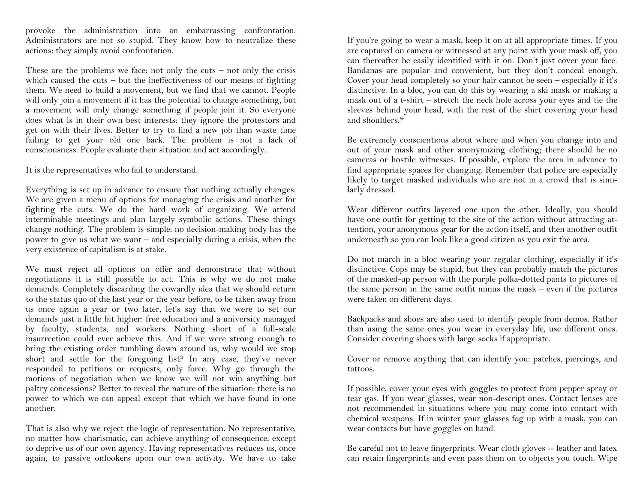provoke the administration into an embarrassing confrontation. Administrators are not so stupid. They know how to neutralize these actions: they simply avoid confrontation.

These are the problems we face: not only the cuts  $-$  not only the crisis which caused the cuts – but the ineffectiveness of our means of fighting them. We need to build a movement, but we find that we cannot. People will only join a movement if it has the potential to change something, but a movement will only change something if people join it. So everyone does what is in their own best interests: they ignore the protestors and get on with their lives. Better to try to find a new job than waste time failing to get your old one back. The problem is not a lack of consciousness. People evaluate their situation and act accordingly.

It is the representatives who fail to understand.

Everything is set up in advance to ensure that nothing actually changes. We are given a menu of options for managing the crisis and another for fighting the cuts. We do the hard work of organizing. We attend interminable meetings and plan largely symbolic actions. These things change nothing. The problem is simple: no decision-making body has the power to give us what we want – and especially during a crisis, when the very existence of capitalism is at stake.

We must reject all options on offer and demonstrate that without negotiations it is still possible to act. This is why we do not make demands. Completely discarding the cowardly idea that we should return to the status quo of the last year or the year before, to be taken away from us once again a year or two later, let's say that we were to set our demands just a little bit higher: free education and a university managed by faculty, students, and workers. Nothing short of a full-scale insurrection could ever achieve this. And if we were strong enough to bring the existing order tumbling down around us, why would we stop short and settle for the foregoing list? In any case, they've never responded to petitions or requests, only force. Why go through the motions of negotiation when we know we will not win anything but paltry concessions? Better to reveal the nature of the situation: there is no power to which we can appeal except that which we have found in one another.

That is also why we reject the logic of representation. No representative, no matter how charismatic, can achieve anything of consequence, except to deprive us of our own agency. Having representatives reduces us, once again, to passive onlookers upon our own activity. We have to take If you're going to wear a mask, keep it on at all appropriate times. If you are captured on camera or witnessed at any point with your mask off, you can thereafter be easily identified with it on. Don't just cover your face. Bandanas are popular and convenient, but they don't conceal enough. Cover your head completely so your hair cannot be seen – especially if it's distinctive. In a bloc, you can do this by wearing a ski mask or making a mask out of a t-shirt – stretch the neck hole across your eyes and tie the sleeves behind your head, with the rest of the shirt covering your head and shoulders.\*

Be extremely conscientious about where and when you change into and out of your mask and other anonymizing clothing; there should be no cameras or hostile witnesses. If possible, explore the area in advance to find appropriate spaces for changing. Remember that police are especially likely to target masked individuals who are not in a crowd that is similarly dressed.

Wear different outfits layered one upon the other. Ideally, you should have one outfit for getting to the site of the action without attracting attention, your anonymous gear for the action itself, and then another outfit underneath so you can look like a good citizen as you exit the area.

Do not march in a bloc wearing your regular clothing, especially if it's distinctive. Cops may be stupid, but they can probably match the pictures of the masked-up person with the purple polka-dotted pants to pictures of the same person in the same outfit minus the mask – even if the pictures were taken on different days.

Backpacks and shoes are also used to identify people from demos. Rather than using the same ones you wear in everyday life, use different ones. Consider covering shoes with large socks if appropriate.

Cover or remove anything that can identify you: patches, piercings, and tattoos.

If possible, cover your eyes with goggles to protect from pepper spray or tear gas. If you wear glasses, wear non-descript ones. Contact lenses are not recommended in situations where you may come into contact with chemical weapons. If in winter your glasses fog up with a mask, you can wear contacts but have goggles on hand.

Be careful not to leave fingerprints. Wear cloth gloves -- leather and latex can retain fingerprints and even pass them on to objects you touch. Wipe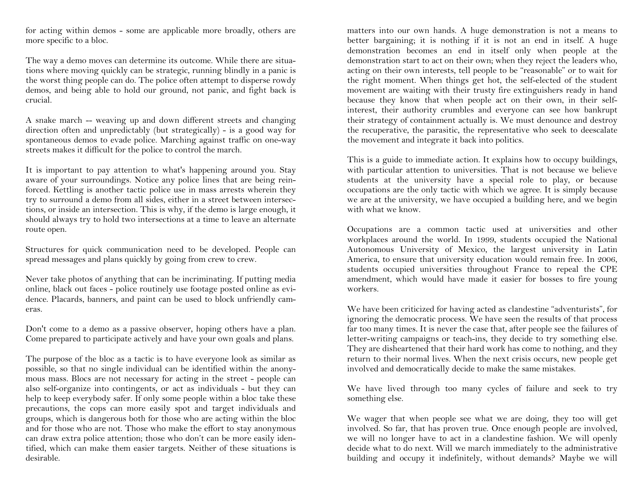for acting within demos - some are applicable more broadly, others are more specific to a bloc.

The way a demo moves can determine its outcome. While there are situations where moving quickly can be strategic, running blindly in a panic is the worst thing people can do. The police often attempt to disperse rowdy demos, and being able to hold our ground, not panic, and fight back is crucial.

A snake march -- weaving up and down different streets and changing direction often and unpredictably (but strategically) - is a good way for spontaneous demos to evade police. Marching against traffic on one-way streets makes it difficult for the police to control the march.

It is important to pay attention to what's happening around you. Stay aware of your surroundings. Notice any police lines that are being reinforced. Kettling is another tactic police use in mass arrests wherein they try to surround a demo from all sides, either in a street between intersections, or inside an intersection. This is why, if the demo is large enough, it should always try to hold two intersections at a time to leave an alternate route open.

Structures for quick communication need to be developed. People can spread messages and plans quickly by going from crew to crew.

Never take photos of anything that can be incriminating. If putting media online, black out faces - police routinely use footage posted online as evidence. Placards, banners, and paint can be used to block unfriendly cameras.

Don't come to a demo as a passive observer, hoping others have a plan. Come prepared to participate actively and have your own goals and plans.

The purpose of the bloc as a tactic is to have everyone look as similar as possible, so that no single individual can be identified within the anonymous mass. Blocs are not necessary for acting in the street - people can also self-organize into contingents, or act as individuals - but they can help to keep everybody safer. If only some people within a bloc take these precautions, the cops can more easily spot and target individuals and groups, which is dangerous both for those who are acting within the bloc and for those who are not. Those who make the effort to stay anonymous can draw extra police attention; those who don't can be more easily identified, which can make them easier targets. Neither of these situations is desirable.

matters into our own hands. A huge demonstration is not a means to better bargaining; it is nothing if it is not an end in itself. A huge demonstration becomes an end in itself only when people at the demonstration start to act on their own; when they reject the leaders who, acting on their own interests, tell people to be "reasonable" or to wait for the right moment. When things get hot, the self-elected of the student movement are waiting with their trusty fire extinguishers ready in hand because they know that when people act on their own, in their selfinterest, their authority crumbles and everyone can see how bankrupt their strategy of containment actually is. We must denounce and destroy the recuperative, the parasitic, the representative who seek to deescalate the movement and integrate it back into politics.

This is a guide to immediate action. It explains how to occupy buildings, with particular attention to universities. That is not because we believe students at the university have a special role to play, or because occupations are the only tactic with which we agree. It is simply because we are at the university, we have occupied a building here, and we begin with what we know.

Occupations are a common tactic used at universities and other workplaces around the world. In 1999, students occupied the National Autonomous University of Mexico, the largest university in Latin America, to ensure that university education would remain free. In 2006, students occupied universities throughout France to repeal the CPE amendment, which would have made it easier for bosses to fire young workers.

We have been criticized for having acted as clandestine "adventurists", for ignoring the democratic process. We have seen the results of that process far too many times. It is never the case that, after people see the failures of letter-writing campaigns or teach-ins, they decide to try something else. They are disheartened that their hard work has come to nothing, and they return to their normal lives. When the next crisis occurs, new people get involved and democratically decide to make the same mistakes.

We have lived through too many cycles of failure and seek to try something else.

We wager that when people see what we are doing, they too will get involved. So far, that has proven true. Once enough people are involved, we will no longer have to act in a clandestine fashion. We will openly decide what to do next. Will we march immediately to the administrative building and occupy it indefinitely, without demands? Maybe we will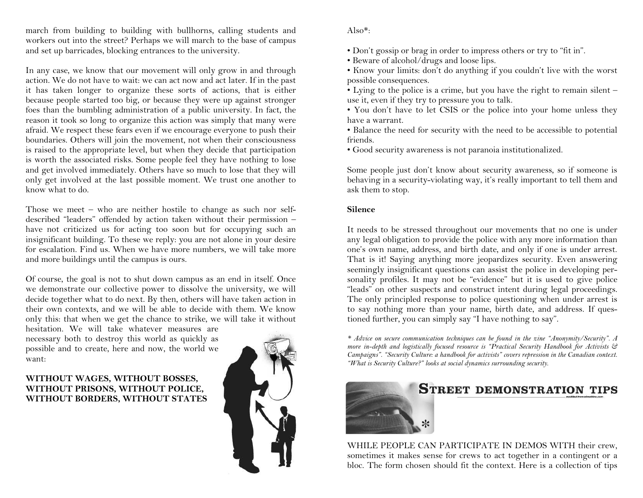march from building to building with bullhorns, calling students and workers out into the street? Perhaps we will march to the base of campus and set up barricades, blocking entrances to the university.

In any case, we know that our movement will only grow in and through action. We do not have to wait: we can act now and act later. If in the past it has taken longer to organize these sorts of actions, that is either because people started too big, or because they were up against stronger foes than the bumbling administration of a public university. In fact, the reason it took so long to organize this action was simply that many were afraid. We respect these fears even if we encourage everyone to push their boundaries. Others will join the movement, not when their consciousness is raised to the appropriate level, but when they decide that participation is worth the associated risks. Some people feel they have nothing to lose and get involved immediately. Others have so much to lose that they will only get involved at the last possible moment. We trust one another to know what to do.

Those we meet – who are neither hostile to change as such nor selfdescribed "leaders" offended by action taken without their permission – have not criticized us for acting too soon but for occupying such an insignificant building. To these we reply: you are not alone in your desire for escalation. Find us. When we have more numbers, we will take more and more buildings until the campus is ours.

Of course, the goal is not to shut down campus as an end in itself. Once we demonstrate our collective power to dissolve the university, we will decide together what to do next. By then, others will have taken action in their own contexts, and we will be able to decide with them. We know only this: that when we get the chance to strike, we will take it without

hesitation. We will take whatever measures are necessary both to destroy this world as quickly as possible and to create, here and now, the world we want:

### **WITHOUT WAGES, WITHOUT BOSSES, WITHOUT PRISONS, WITHOUT POLICE, WITHOUT BORDERS, WITHOUT STATES**



### Also\*:

• Don't gossip or brag in order to impress others or try to "fit in".

• Beware of alcohol/drugs and loose lips.

• Know your limits: don't do anything if you couldn't live with the worst possible consequences.

 • Lying to the police is a crime, but you have the right to remain silent – use it, even if they try to pressure you to talk.

• You don't have to let CSIS or the police into your home unless they have a warrant.

 • Balance the need for security with the need to be accessible to potential friends.

• Good security awareness is not paranoia institutionalized.

Some people just don't know about security awareness, so if someone is behaving in a security-violating way, it's really important to tell them and ask them to stop.

### **Silence**

It needs to be stressed throughout our movements that no one is under any legal obligation to provide the police with any more information than one's own name, address, and birth date, and only if one is under arrest. That is it! Saying anything more jeopardizes security. Even answering seemingly insignificant questions can assist the police in developing personality profiles. It may not be "evidence" but it is used to give police "leads" on other suspects and construct intent during legal proceedings. The only principled response to police questioning when under arrest is to say nothing more than your name, birth date, and address. If questioned further, you can simply say "I have nothing to say".

*\* Advice on secure communication techniques can be found in the zine "Anonymity/Security". A more in-depth and logistically focused resource is "Practical Security Handbook for Activists & Campaigns". "Security Culture: a handbook for activists" covers repression in the Canadian context. "What is Security Culture?" looks at social dynamics surrounding security.* 



### **STREET DEMONSTRATION TIPS**

WHILE PEOPLE CAN PARTICIPATE IN DEMOS WITH their crew, sometimes it makes sense for crews to act together in a contingent or a bloc. The form chosen should fit the context. Here is a collection of tips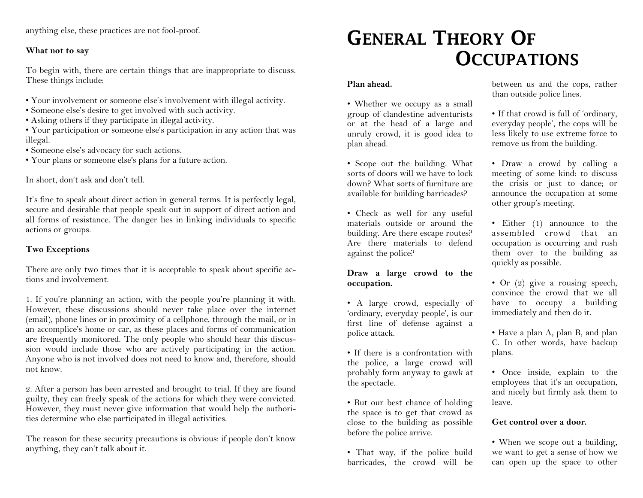anything else, these practices are not fool-proof.

### **What not to say**

To begin with, there are certain things that are inappropriate to discuss. These things include:

- Your involvement or someone else's involvement with illegal activity.
- Someone else's desire to get involved with such activity.
- Asking others if they participate in illegal activity.
- Your participation or someone else's participation in any action that was illegal.
- Someone else's advocacy for such actions.
- Your plans or someone else's plans for a future action.

In short, don't ask and don't tell.

It's fine to speak about direct action in general terms. It is perfectly legal, secure and desirable that people speak out in support of direct action and all forms of resistance. The danger lies in linking individuals to specific actions or groups.

### **Two Exceptions**

There are only two times that it is acceptable to speak about specific actions and involvement.

1. If you're planning an action, with the people you're planning it with. However, these discussions should never take place over the internet (email), phone lines or in proximity of a cellphone, through the mail, or in an accomplice's home or car, as these places and forms of communication are frequently monitored. The only people who should hear this discussion would include those who are actively participating in the action. Anyone who is not involved does not need to know and, therefore, should not know.

2. After a person has been arrested and brought to trial. If they are found guilty, they can freely speak of the actions for which they were convicted. However, they must never give information that would help the authorities determine who else participated in illegal activities.

The reason for these security precautions is obvious: if people don't know anything, they can't talk about it.

### **GENERAL THEORY OFOCCUPATIONS**

### **Plan ahead.**

• Whether we occupy as a small group of clandestine adventurists or at the head of a large and unruly crowd, it is good idea to plan ahead.

• Scope out the building. What sorts of doors will we have to lock down? What sorts of furniture are available for building barricades?

• Check as well for any useful materials outside or around the building. Are there escape routes? Are there materials to defend against the police?

### **Draw a large crowd to the occupation.**

• A large crowd, especially of 'ordinary, everyday people', is our first line of defense against a police attack.

• If there is a confrontation with the police, a large crowd will probably form anyway to gawk at the spectacle.

• But our best chance of holding the space is to get that crowd as close to the building as possible before the police arrive.

• That way, if the police build barricades, the crowd will be between us and the cops, rather than outside police lines.

• If that crowd is full of 'ordinary, everyday people', the cops will be less likely to use extreme force to remove us from the building.

• Draw a crowd by calling a meeting of some kind: to discuss the crisis or just to dance; or announce the occupation at some other group's meeting.

• Either (1) announce to the assembled crowd that an occupation is occurring and rush them over to the building as quickly as possible.

• Or  $(2)$  give a rousing speech, convince the crowd that we all have to occupy a building immediately and then do it.

• Have a plan A, plan B, and plan C. In other words, have backup plans.

• Once inside, explain to the employees that it's an occupation, and nicely but firmly ask them to leave.

### **Get control over a door.**

• When we scope out a building, we want to get a sense of how we can open up the space to other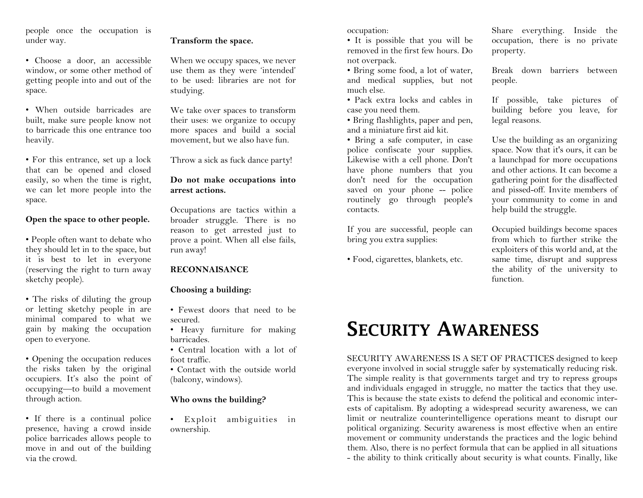people once the occupation is under way.

• Choose a door, an accessible window, or some other method of getting people into and out of the space.

• When outside barricades are built, make sure people know not to barricade this one entrance too heavily.

• For this entrance, set up a lock that can be opened and closed easily, so when the time is right, we can let more people into the space.

### **Open the space to other people.**

• People often want to debate who they should let in to the space, but it is best to let in everyone (reserving the right to turn away sketchy people).

• The risks of diluting the group or letting sketchy people in are minimal compared to what we gain by making the occupation open to everyone.

• Opening the occupation reduces the risks taken by the original occupiers. It's also the point of occupying—to build a movement through action.

• If there is a continual police presence, having a crowd inside police barricades allows people to move in and out of the building via the crowd.

### **Transform the space.**

When we occupy spaces, we never use them as they were 'intended' to be used: libraries are not for studying.

We take over spaces to transform their uses: we organize to occupy more spaces and build a social movement, but we also have fun.

Throw a sick as fuck dance party!

#### **Do not make occupations into arrest actions.**

Occupations are tactics within a broader struggle. There is no reason to get arrested just to prove a point. When all else fails, run away!

#### **RECONNAISANCE**

### **Choosing a building:**

- Fewest doors that need to be secured.
- Heavy furniture for making barricades.

 • Central location with a lot of foot traffic.

• Contact with the outside world (balcony, windows).

#### **Who owns the building?**

• Exploit ambiguities in ownership.

occupation:

 • It is possible that you will be removed in the first few hours. Do not overpack.

 • Bring some food, a lot of water, and medical supplies, but not much else.

 • Pack extra locks and cables in case you need them.

• Bring flashlights, paper and pen, and a miniature first aid kit.

 • Bring a safe computer, in case police confiscate your supplies. Likewise with a cell phone. Don't have phone numbers that you don't need for the occupation saved on your phone -- police routinely go through people's contacts.

If you are successful, people can bring you extra supplies:

• Food, cigarettes, blankets, etc.

Share everything. Inside the occupation, there is no private property.

Break down barriers between people.

If possible, take pictures of building before you leave, for legal reasons.

Use the building as an organizing space. Now that it's ours, it can be a launchpad for more occupations and other actions. It can become a gathering point for the disaffected and pissed-off. Invite members of your community to come in and help build the struggle.

Occupied buildings become spaces from which to further strike the exploiters of this world and, at the same time, disrupt and suppress the ability of the university to function.

### **SECURITY AWARENESS**

SECURITY AWARENESS IS A SET OF PRACTICES designed to keep everyone involved in social struggle safer by systematically reducing risk. The simple reality is that governments target and try to repress groups and individuals engaged in struggle, no matter the tactics that they use. This is because the state exists to defend the political and economic interests of capitalism. By adopting a widespread security awareness, we can limit or neutralize counterintelligence operations meant to disrupt our political organizing. Security awareness is most effective when an entire movement or community understands the practices and the logic behind them. Also, there is no perfect formula that can be applied in all situations - the ability to think critically about security is what counts. Finally, like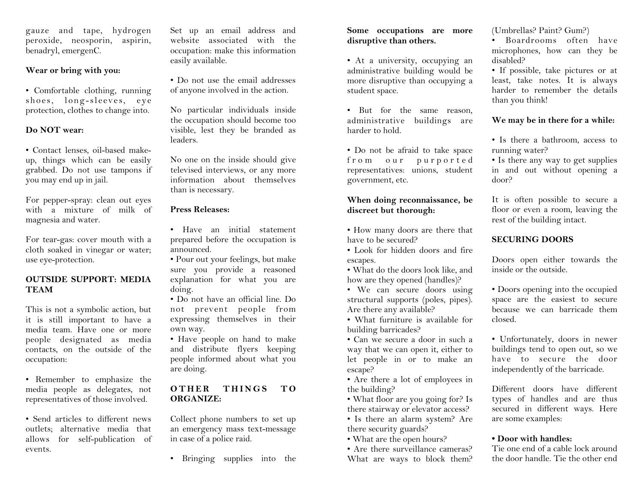gauze and tape, hydrogen peroxide, neosporin, aspirin, benadryl, emergenC.

### **Wear or bring with you:**

• Comfortable clothing, running shoes, long-sleeves, eye protection, clothes to change into.

### **Do NOT wear:**

• Contact lenses, oil-based makeup, things which can be easily grabbed. Do not use tampons if you may end up in jail.

For pepper-spray: clean out eyes with a mixture of milk of magnesia and water.

For tear-gas: cover mouth with a cloth soaked in vinegar or water; use eye-protection.

### **OUTSIDE SUPPORT: MEDIA TEAM**

This is not a symbolic action, but it is still important to have a media team. Have one or more people designated as media contacts, on the outside of the occupation:

• Remember to emphasize the media people as delegates, not representatives of those involved.

• Send articles to different news outlets; alternative media that allows for self-publication of events.

Set up an email address and website associated with the occupation: make this information easily available.

• Do not use the email addresses of anyone involved in the action.

No particular individuals inside the occupation should become too visible, lest they be branded as leaders.

No one on the inside should give televised interviews, or any more information about themselves than is necessary.

### **Press Releases:**

• Have an initial statement prepared before the occupation is announced.

 • Pour out your feelings, but make sure you provide a reasoned explanation for what you are doing.

• Do not have an official line. Do not prevent people from expressing themselves in their own way.

• Have people on hand to make and distribute flyers keeping people informed about what you are doing.

### $OPT$  **ER THINGS
TO ORGANIZE:**

Collect phone numbers to set up an emergency mass text-message in case of a police raid.

• Bringing supplies into the

### **Some occupations are more disruptive than others.**

• At a university, occupying an administrative building would be more disruptive than occupying a student space.

• But for the same reason, administrative buildings are harder to hold.

• Do not be afraid to take space from our purported representatives: unions, student government, etc.

### **When doing reconnaissance, be discreet but thorough:**

• How many doors are there that have to be secured?

 • Look for hidden doors and fire escapes.

• What do the doors look like, and how are they opened (handles)?

• We can secure doors using structural supports (poles, pipes). Are there any available?

• What furniture is available for building barricades?

• Can we secure a door in such a way that we can open it, either to let people in or to make an escape?

 • Are there a lot of employees in the building?

• What floor are you going for? Is there stairway or elevator access?

• Is there an alarm system? Are there security guards?

• What are the open hours?

• Are there surveillance cameras? What are ways to block them? (Umbrellas? Paint? Gum?)

• Boardrooms often have microphones, how can they be disabled?

 • If possible, take pictures or at least, take notes. It is always harder to remember the details than you think!

### **We may be in there for a while:**

• Is there a bathroom, access to running water?

• Is there any way to get supplies in and out without opening a door?

It is often possible to secure a floor or even a room, leaving the rest of the building intact.

### **SECURING DOORS**

Doors open either towards the inside or the outside.

• Doors opening into the occupied space are the easiest to secure because we can barricade them closed.

• Unfortunately, doors in newer buildings tend to open out, so we have to secure the door independently of the barricade.

Different doors have different types of handles and are thus secured in different ways. Here are some examples:

### **• Door with handles:**

 Tie one end of a cable lock around the door handle. Tie the other end